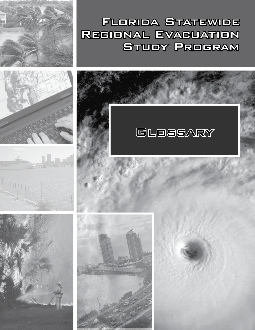Florida Statewide Regional Evacuation Study Program









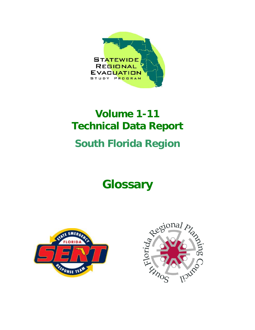

## **Volume 1-11 Technical Data Report**

## **South Florida Region**

# **Glossary**



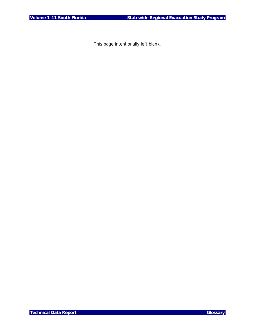This page intentionally left blank.

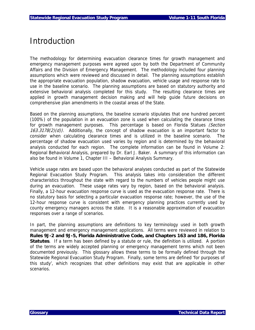### **Introduction**

The methodology for determining evacuation clearance times for growth management and emergency management purposes were agreed upon by both the Department of Community Affairs and the Division of Emergency Management. The methodology included four planning assumptions which were reviewed and discussed in detail. The planning assumptions establish the appropriate evacuation population, shadow evacuation, vehicle usage and response rate to use in the baseline scenario. The planning assumptions are based on statutory authority and extensive behavioral analysis completed for this study. The resulting clearance times are applied in growth management decision making and will help guide future decisions on comprehensive plan amendments in the coastal areas of the State.

Based on the planning assumptions, the baseline scenario stipulates that one hundred percent (100%) of the population in an evacuation zone is used when calculating the clearance times for growth management purposes. This percentage is based on Florida Statues (Section  $163.3178(2)(d)$ . Additionally, the concept of shadow evacuation is an important factor to consider when calculating clearance times and is utilized in the baseline scenario. The percentage of shadow evacuation used varies by region and is determined by the behavioral analysis conducted for each region. The complete information can be found in Volume 2: Regional Behavioral Analysis, prepared by Dr. Earl J. Baker. A summary of this information can also be found in Volume 1, Chapter III – Behavioral Analysis Summary.

Vehicle usage rates are based upon the behavioral analyses conducted as part of the Statewide Regional Evacuation Study Program. This analysis takes into consideration the different characteristics throughout the state with regard to the numbers of vehicles people might use during an evacuation. These usage rates vary by region, based on the behavioral analysis. Finally, a 12-hour evacuation response curve is used as the evacuation response rate. There is no statutory basis for selecting a particular evacuation response rate; however, the use of the 12-hour response curve is consistent with emergency planning practices currently used by county emergency managers across the state. It is a reasonable approximation of evacuation responses over a range of scenarios.

In part, the planning assumptions are definitions to key terminology used in both growth management and emergency management applications. All terms were reviewed in relation to **Rules 9J-2 and 9J-5, Florida Administrative Code, and Chapters 163 and 186, Florida Statutes**. If a term has been defined by a statute or rule, the definition is utilized. A portion of the terms are widely accepted planning or emergency management terms which not been documented previously. This glossary allows these terms to be formally defined through the Statewide Regional Evacuation Study Program. Finally, some terms are defined 'for purposes of this study', which recognizes that other definitions may exist that are applicable in other scenarios.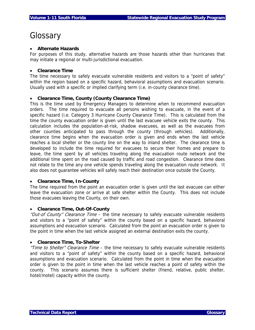### Glossary

#### • **Alternate Hazards**

For purposes of this study, alternative hazards are those hazards other than hurricanes that may initiate a regional or multi-jurisdictional evacuation.

#### • **Clearance Time**

The time necessary to safely evacuate vulnerable residents and visitors to a "point of safety" within the region based on a specific hazard, behavioral assumptions and evacuation scenario. Usually used with a specific or implied clarifying term (i.e. in-county clearance time).

#### • **Clearance Time, County (County Clearance Time)**

This is the time used by Emergency Managers to determine when to recommend evacuation orders. The time required to evacuate all persons wishing to evacuate, in the event of a specific hazard (i.e. Category 3 Hurricane County Clearance Time). This is calculated from the time the county evacuation order is given until the last evacuee vehicle exits the county. This calculation includes the population-at-risk, shadow evacuees, as well as the evacuees from other counties anticipated to pass through the county (through vehicles). Additionally, clearance time begins when the evacuation order is given and ends when the last vehicle reaches a local shelter or the county line on the way to inland shelter. The clearance time is developed to include the time required for evacuees to secure their homes and prepare to leave, the time spent by all vehicles traveling along the evacuation route network and the additional time spent on the road caused by traffic and road congestion. Clearance time does not relate to the time any one vehicle spends traveling along the evacuation route network. It also does not guarantee vehicles will safely reach their destination once outside the County.

#### • **Clearance Time, In-County**

The time required from the point an evacuation order is given until the last evacuee can either leave the evacuation zone or arrive at safe shelter within the County. This does not include those evacuees leaving the County, on their own.

#### • **Clearance Time, Out-Of-County**

"Out-of County" Clearance Time - the time necessary to safely evacuate vulnerable residents and visitors to a "point of safety" within the county based on a specific hazard, behavioral assumptions and evacuation scenario. Calculated from the point an evacuation order is given to the point in time when the last vehicle assigned an external destination exits the county.

#### • **Clearance Time, To-Shelter**

"Time to Shelter" Clearance Time – the time necessary to safely evacuate vulnerable residents and visitors to a "point of safety" within the county based on a specific hazard, behavioral assumptions and evacuation scenario. Calculated from the point in time when the evacuation order is given to the point in time when the last vehicle reaches a point of safety within the county. This scenario assumes there is sufficient shelter (friend, relative, public shelter, hotel/motel) capacity within the county.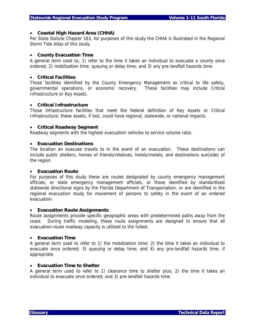#### • **Coastal High Hazard Area (CHHA)**

Per State Statute Chapter 163, for purposes of this study the CHHA is illustrated in the Regional Storm Tide Atlas of this study.

#### • **County Evacuation Time**

A general term used to; 1) refer to the time it takes an individual to evacuate a county once ordered; 2) mobilization time, queuing or delay time; and 3) any pre-landfall hazards time.

#### • **Critical Facilities**

Those facilities identified by the County Emergency Management as critical to life safety, governmental operations, or economic recovery. These facilities may include Critical Infrastructure or Key Assets.

#### • **Critical Infrastructure**

Those infrastructure facilities that meet the federal definition of Key Assets or Critical Infrastructure; these assets, if lost, could have regional, statewide, or national impacts.

#### • **Critical Roadway Segment**

Roadway segments with the highest evacuation vehicles to service volume ratio.

#### • **Evacuation Destinations**

The location an evacuee travels to in the event of an evacuation. These destinations can include public shelters, homes of friends/relatives, hotels/motels, and destinations out(side) of the region.

#### • **Evacuation Route**

For purposes of this study these are routes designated by county emergency management officials, or state emergency management officials, or those identified by standardized statewide directional signs by the Florida Department of Transportation, or are identified in the regional evacuation study for movement of persons to safety in the event of an ordered evacuation.

#### • **Evacuation Route Assignments**

Route assignments provide specific geographic areas with predetermined paths away from the coast. During traffic modeling, these route assignments are designed to ensure that all evacuation-route roadway capacity is utilized to the fullest.

#### • **Evacuation Time**

A general term used to refer to 1) the mobilization time; 2) the time it takes an individual to evacuate once ordered; 3) queuing or delay time; and 4) any pre-landfall hazards time, if appropriate.

#### • **Evacuation Time to Shelter**

A general term used to refer to 1) clearance time to shelter plus; 2) the time it takes an individual to evacuate once ordered; and 3) pre-landfall hazards time.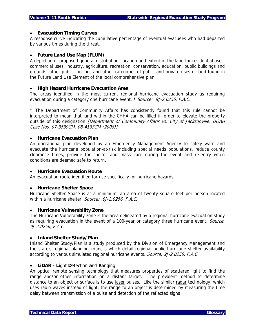#### • **Evacuation Timing Curves**

A response curve indicating the cumulative percentage of eventual evacuees who had departed by various times during the threat.

#### • **Future Land Use Map (FLUM)**

A depiction of proposed general distribution, location and extent of the land for residential uses, commercial uses, industry, agriculture, recreation, conservation, education, public buildings and grounds, other public facilities and other categories of public and private uses of land found in the Future Land Use Element of the local comprehensive plan.

#### • **High Hazard Hurricane Evacuation Area**

The areas identified in the most current regional hurricane evacuation study as requiring evacuation during a category one hurricane event. \* Source: 9J-2.0256, F.A.C.

\* The Department of Community Affairs has consistently found that this rule cannot be interpreted to mean that land within the CHHA can be filled in order to elevate the property outside of this designation [Department of Community Affaris vs. City of Jacksonville. DOAH Case Nos. 07-3539GM, 08-4193GM (2008)]

#### • **Hurricane Evacuation Plan**

An operational plan developed by an Emergency Management Agency to safely warn and evacuate the hurricane population-at-risk including special needs populations, reduce county clearance times, provide for shelter and mass care during the event and re-entry when conditions are deemed safe to return.

#### • **Hurricane Evacuation Route**

An evacuation route identified for use specifically for hurricane hazards.

#### • **Hurricane Shelter Space**

Hurricane Shelter Space is at a minimum, an area of twenty square feet per person located within a hurricane shelter. Source: 9J-2.0256, F.A.C.

#### • **Hurricane Vulnerability Zone**

The Hurricane Vulnerability zone is the area delineated by a regional hurricane evacuation study as requiring evacuation in the event of a 100-year or category three hurricane event. Source: 9J-2.0256, F.A.C.

#### • **Inland Shelter Study/Plan**

Inland Shelter Study/Plan is a study produced by the Division of Emergency Management and the state's regional planning councils which detail regional public hurricane shelter availability according to various simulated regional hurricane events. Source: 9J-2.0256, F.A.C.

#### • **LiDAR - Li**ght **D**etection **a**nd **R**anging

An optical remote sensing technology that measures properties of scattered light to find the range and/or other information on a distant target. The prevalent method to determine distance to an object or surface is to use laser pulses. Like the similar radar technology, which uses radio waves instead of light, the range to an object is determined by measuring the time delay between transmission of a pulse and detection of the reflected signal.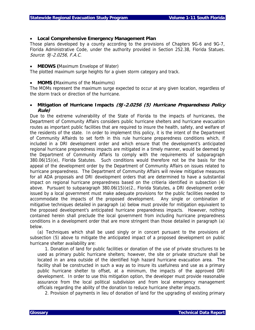#### • **Local Comprehensive Emergency Management Plan**

Those plans developed by a county according to the provisions of Chapters 9G-6 and 9G-7, Florida Administrative Code, under the authority provided in Section 252.38, Florida Statues. Source: 9J-2.0256, F.A.C.

#### • **MEOWS (**Maximum Envelope of Water)

The plotted maximum surge heights for a given storm category and track.

#### • **MOMS (**Maximums of the Maximums)

The MOMs represent the maximum surge expected to occur at any given location, regardless of the storm track or direction of the hurricane.

### • **Mitigation of Hurricane Impacts (9J-2.0256 (5) Hurricane Preparedness Policy Rule)**

Due to the extreme vulnerability of the State of Florida to the impacts of hurricanes, the Department of Community Affairs considers public hurricane shelters and hurricane evacuation routes as important public facilities that are required to insure the health, safety, and welfare of the residents of the state. In order to implement this policy, it is the intent of the Department of Community Affairds to set forth in this rule hurricane preparedness conditions which, if included in a DRI development order and which ensure that the development's anticipated regional hurricane preparedness impacts are mitigated in a timely manner, would be deemed by the Department of Community Affaris to comply with the requirements of subparagraph 380.06(15)(e), Florida Statutes. Such conditions would therefore not be the basis for the appeal of the development order by the Department of Community Affairs on issues related to hurricane preparedness. The Department of Community Affairs will review mitigative measures for all ADA proposals and DRI development orders that are determined to have a substantial impact on regional hurricane preparedness based on the critieria identified in subsection (4) above. Pursuant to subparagraph 380.06(15)(e)2., Florida Statutes, a DRI development order issued by a local government must make adequate provisions for the public facilities needed to accommodate the impacts of the proposed development. Any single or combination of mitigative techniques detailed in paragraph (a) below must provide for mitigation equivalent to the proposed development's anticipated hurricane preparedness impacts. However, nothing contained herein shall preclude the local government from including hurricane preparedness conditions in a development order that are more stringent than those detailed in paragraph (a) below.

(a) Techniques which shall be used singly or in concert pursuant to the provisions of subsection (5) above to mitigate the anticipated impact of a proposed development on public hurricane shelter availability are:

1. Donation of land for public facilities or donation of the use of private structures to be used as primary public hurricane shelters; however, the site or private structure shall be located in an area outside of the identified high hazard hurricane evacuation area. The facility shall be constructed in such a way as to insure its usefulness and use as a primary public hurricane shelter to offset, at a minimum, the impacts of the approved DRI development. In order to use this mitigation option, the developer must provide reasonable assurance from the local political subdivision and from local emergency management officials regarding the ability of the donation to reduce hurricane shelter impacts.

2. Provision of payments in lieu of donation of land for the upgrading of existing primary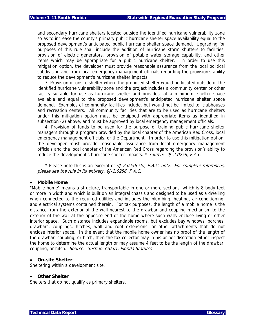and secondary hurricane shelters located outside the identified hurricane vulnerability zone so as to increase the county's primary public hurricane shelter space availability equal to the proposed development's anticipated public hurricane shelter space demand. Upgrading for purposes of this rule shall include the addition of hurricane storm shutters to facilities, provision of electric generators, provision of potable water storage capability, and other items which may be appropriate for a public hurricane shelter. In order to use this mitigation option, the developer must provide reasonable assurance from the local political subdivision and from local emergency management officials regarding the provision's ability to reduce the development's hurricane shelter impacts.

3. Provision of onsite shelter where the proposed shelter would be located outside of the identified hurricane vulnerability zone and the project includes a community center or other facility suitable for use as hurricane shelter and provides, at a minimum, shelter space available and equal to the proposed development's anticipated hurricane shelter space demand. Examples of community facilities include, but would not be limited to, clubhouses and recreation centers. All community facilities that are to be used as hurricane shelters under this mitigation option must be equipped with appropriate items as identified in subsection (2) above, and must be approved by local emergency management officials.

4. Provision of funds to be used for the purpose of training public hurricane shelter managers through a program provided by the local chapter of the American Red Cross, local emergency management officials, or the Department. In order to use this mitigation option, the developer must provide reasonable assurance from local emergency management officials and the local chapter of the American Red Cross regarding the provision's ability to reduce the development's hurricane shelter impacts. \* Source: 9J-2.0256, F.A.C.

\* Please note this is an excerpt of 9J-2.0256 (5), F.A.C. only. For complete references, please see the rule in its entirety, 9J-2.0256, F.A.C.

#### • **Mobile Home**

"Mobile home" means a structure, transportable in one or more sections, which is 8 body feet or more in width and which is built on an integral chassis and designed to be used as a dwelling when connected to the required utilities and includes the plumbing, heating, air-conditioning, and electrical systems contained therein. For tax purposes, the length of a mobile home is the distance from the exterior of the wall nearest to the drawbar and coupling mechanism to the exterior of the wall at the opposite end of the home where such walls enclose living or other interior space. Such distance includes expandable rooms, but excludes bay windows, porches, drawbars, couplings, hitches, wall and roof extensions, or other attachments that do not enclose interior space. In the event that the mobile home owner has no proof of the length of the drawbar, coupling, or hitch, then the tax collector may in his or her discretion either inspect the home to determine the actual length or may assume 4 feet to be the length of the drawbar, coupling, or hitch. Source: Section 320.01, Florida Statutes

#### • **On-site Shelter**

Sheltering within a development site.

#### • **Other Shelter**

Shelters that do not qualify as primary shelters.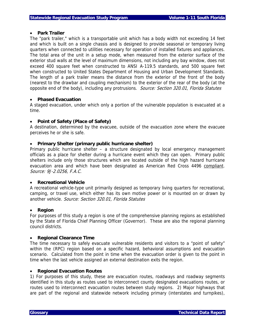#### • **Park Trailer**

The "park trailer," which is a transportable unit which has a body width not exceeding 14 feet and which is built on a single chassis and is designed to provide seasonal or temporary living quarters when connected to utilities necessary for operation of installed fixtures and appliances. The total area of the unit in a setup mode, when measured from the exterior surface of the exterior stud walls at the level of maximum dimensions, not including any bay window, does not exceed 400 square feet when constructed to ANSI A-119.5 standards, and 500 square feet when constructed to United States Department of Housing and Urban Development Standards. The length of a park trailer means the distance from the exterior of the front of the body (nearest to the drawbar and coupling mechanism) to the exterior of the rear of the body (at the opposite end of the body), including any protrusions. Source: Section 320.01, Florida Statutes

#### • **Phased Evacuation**

A staged evacuation, under which only a portion of the vulnerable population is evacuated at a time.

### • **Point of Safety (Place of Safety)**

A destination, determined by the evacuee, outside of the evacuation zone where the evacuee perceives he or she is safe.

#### • **Primary Shelter (primary public hurricane shelter)**

Primary public hurricane shelter – a structure designated by local emergency management officials as a place for shelter during a hurricane event which they can open. Primary public shelters include only those structures which are located outside of the high hazard hurricane evacuation area and which have been designated as American Red Cross 4496 compliant. Source: 9J-2.0256, F.A.C.

#### • **Recreational Vehicle**

A recreational vehicle-type unit primarily designed as temporary living quarters for recreational, camping, or travel use, which either has its own motive power or is mounted on or drawn by another vehicle. Source: Section 320.01, Florida Statutes

#### • **Region**

For purposes of this study a region is one of the comprehensive planning regions as established by the State of Florida Chief Planning Officer (Governor). These are also the regional planning council districts.

#### • **Regional Clearance Time**

The time necessary to safely evacuate vulnerable residents and visitors to a "point of safety" within the (RPC) region based on a specific hazard, behavioral assumptions and evacuation scenario. Calculated from the point in time when the evacuation order is given to the point in time when the last vehicle assigned an external destination exits the region.

#### • **Regional Evacuation Routes**

1) For purposes of this study, these are evacuation routes, roadways and roadway segments identified in this study as routes used to interconnect county designated evacuations routes, or routes used to interconnect evacuation routes between study regions. 2) Major highways that are part of the regional and statewide network including primary (interstates and turnpikes),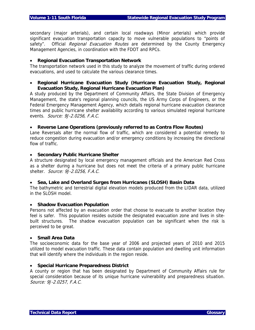secondary (major arterials), and certain local roadways (Minor arterials) which provide significant evacuation transportation capacity to move vulnerable populations to "points of safety". Official Regional Evacuation Routes are determined by the County Emergency Management Agencies, in coordination with the FDOT and RPCs.

#### • **Regional Evacuation Transportation Network**

The transportation network used in this study to analyze the movement of traffic during ordered evacuations, and used to calculate the various clearance times.

#### • **Regional Hurricane Evacuation Study (Hurricane Evacuation Study, Regional Evacuation Study, Regional Hurricane Evacuation Plan)**

A study produced by the Department of Community Affairs, the State Division of Emergency Management, the state's regional planning councils, the US Army Corps of Engineers, or the Federal Emergency Management Agency, which details regional hurricane evacuation clearance times and public hurricane shelter availability according to various simulated regional hurricane events. Source: 9J-2.0256, F.A.C.

#### • **Reverse Lane Operations (previously referred to as Contra Flow Routes)**

Lane Reversals alter the normal flow of traffic, which are considered a potential remedy to reduce congestion during evacuation and/or emergency conditions by increasing the directional flow of traffic.

#### • **Secondary Public Hurricane Shelter**

A structure designated by local emergency management officials and the American Red Cross as a shelter during a hurricane but does not meet the criteria of a primary public hurricane shelter. Source: 9J-2.0256, F.A.C.

#### • **Sea, Lake and Overland Surges from Hurricanes (SLOSH) Basin Data**

The bathymetric and terrestrial digital elevation models produced from the LIDAR data, utilized in the SLOSH model.

#### • **Shadow Evacuation Population**

Persons not affected by an evacuation order that choose to evacuate to another location they feel is safer. This population resides outside the designated evacuation zone and lives in sitebuilt structures. The shadow evacuation population can be significant when the risk is perceived to be great.

#### • **Small Area Data**

The socioeconomic data for the base year of 2006 and projected years of 2010 and 2015 utilized to model evacuation traffic. These data contain population and dwelling unit information that will identify where the individuals in the region reside.

#### • **Special Hurricane Preparedness District**

A county or region that has been designated by Department of Community Affairs rule for special consideration because of its unique hurricane vulnerability and preparedness situation. Source: 9J-2.0257, F.A.C.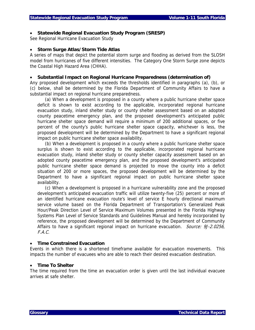#### • **Statewide Regional Evacuation Study Program (SRESP)**

See Regional Hurricane Evacuation Study

#### • **Storm Surge Atlas/Storm Tide Atlas**

A series of maps that depict the potential storm surge and flooding as derived from the SLOSH model from hurricanes of five different intensities. The Category One Storm Surge zone depicts the Coastal High Hazard Area (CHHA).

#### • **Substantial Impact on Regional Hurricane Preparedness (determination of)**

Any proposed development which exceeds the thresholds identified in paragraphs (a), (b), or (c) below, shall be determined by the Florida Department of Community Affairs to have a substantial impact on regional hurricane preparedness.

(a) When a development is proposed in a county where a public hurricane shelter space deficit is shown to exist according to the applicable, incorporated regional hurricane evacuation study, inland shelter study or county shelter assessment based on an adopted county peacetime emergency plan, and the proposed development's anticipated public hurricane shelter space demand will require a minimum of 200 additional spaces, or five percent of the county's public hurricane shelter space capacity, whichever is less, the proposed development will be determined by the Department to have a significant regional impact on public hurricane shelter space availability.

(b) When a development is proposed in a county where a public hurricane shelter space surplus is shown to exist according to the applicable, incorporated regional hurricane evacuation study, inland shelter study or county shelter capacity assessment based on an adopted county peacetime emergency plan, and the proposed development's anticipated public hurricane shelter space demand is projected to move the county into a deficit situation of 200 or more spaces, the proposed development will be determined by the Department to have a significant regional impact on public hurricane shelter space availability.

(c) When a development is proposed in a hurricane vulnerability zone and the proposed development's anticipated evacuation traffic will utilize twenty-five (25) percent or more of an identified hurricane evacuation route's level of service E hourly directional maximum service volume based on the Florida Department of Transportation's Generalized Peak Hour/Peak Direction Level of Service Maximum Volumes presented in the Florida Highway Systems Plan Level of Service Standards and Guidelines Manual and hereby incorporated by reference, the proposed development will be determined by the Department of Community Affairs to have a significant regional impact on hurricane evacuation. Source: 9J-2.0256, F.A.C.

#### • **Time Constrained Evacuation**

Events in which there is a shortened timeframe available for evacuation movements. This impacts the number of evacuees who are able to reach their desired evacuation destination.

#### • **Time To Shelter**

The time required from the time an evacuation order is given until the last individual evacuee arrives at safe shelter.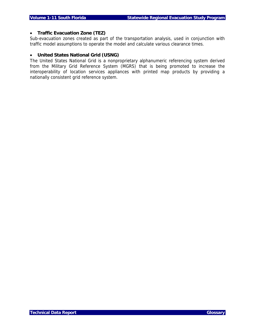### • **Traffic Evacuation Zone (TEZ)**

Sub-evacuation zones created as part of the transportation analysis, used in conjunction with traffic model assumptions to operate the model and calculate various clearance times.

#### • **United States National Grid (USNG)**

The United States National Grid is a nonproprietary alphanumeric referencing system derived from the Military Grid Reference System (MGRS) that is being promoted to increase the interoperability of location services appliances with printed map products by providing a nationally consistent grid reference system.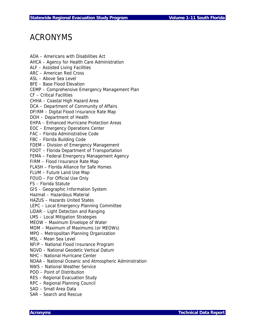## ACRONYMS

ADA – Americans with Disabilities Act AHCA – Agency for Health Care Administration ALF – Assisted Living Facilities ARC – American Red Cross ASL – Above Sea Level BFE – Base Flood Elevation CEMP – Comprehensive Emergency Management Plan CF – Critical Facilities CHHA – Coastal High Hazard Area DCA – Department of Community of Affairs DFIRM – Digital Flood Insurance Rate Map DOH – Department of Health EHPA – Enhanced Hurricane Protection Areas EOC – Emergency Operations Center FAC – Florida Administrative Code FBC – Florida Building Code FDEM – Division of Emergency Management FDOT – Florida Department of Transportation FEMA – Federal Emergency Management Agency FIRM – Flood Insurance Rate Map FLASH – Florida Alliance for Safe Homes FLUM – Future Land Use Map FOUO – For Official Use Only FS – Florida Statute GIS – Geographic Information System Hazmat – Hazardous Material HAZUS – Hazards United States LEPC – Local Emergency Planning Committee LiDAR – Light Detection and Ranging LMS – Local Mitigation Strategies MEOW – Maximum Envelope of Water MOM – Maximum of Maximums (or MEOWs) MPO – Metropolitan Planning Organization MSL – Mean Sea Level NFIP – National Flood Insurance Program NGVD – National Geodetic Vertical Datum NHC – National Hurricane Center NOAA – National Oceanic and Atmospheric Administration NWS – National Weather Service POD – Point of Distribution RES – Regional Evacuation Study RPC – Regional Planning Council SAD – Small Area Data

SAR – Search and Rescue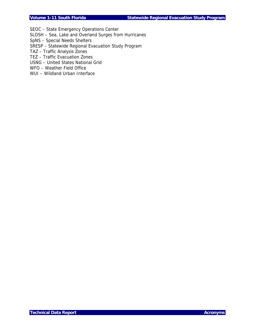SEOC – State Emergency Operations Center

SLOSH – Sea, Lake and Overland Surges from Hurricanes

SpNS – Special Needs Shelters

SRESP – Statewide Regional Evacuation Study Program

TAZ – Traffic Analysis Zones

TEZ – Traffic Evacuation Zones

USNG – United States National Grid

WFO – Weather Field Office

WUI – Wildland Urban Interface